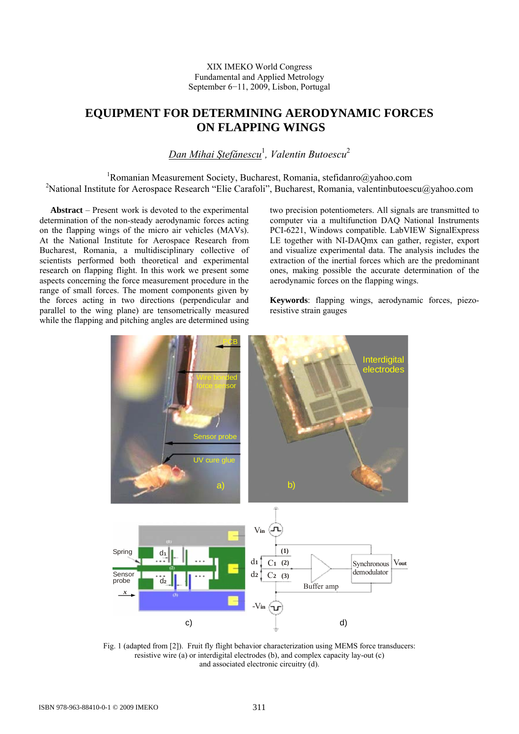# XIX IMEKO World Congress Fundamental and Applied Metrology September 6−11, 2009, Lisbon, Portugal

# **EQUIPMENT FOR DETERMINING AERODYNAMIC FORCES ON FLAPPING WINGS**

*Dan Mihai Ştefănescu* 1 *, Valentin Butoescu*<sup>2</sup>

<sup>1</sup>Romanian Measurement Society, Bucharest, Romania, [stefidanro@yahoo.com](mailto:stefidanro@yahoo.com) <sup>2</sup>National Institute for Aerospace Research "Elie Carafoli", Bucharest, Romania, valentinbutoescu@yahoo.com

 **Abstract** – Present work is devoted to the experimental determination of the non-steady aerodynamic forces acting on the flapping wings of the micro air vehicles (MAVs). At the National Institute for Aerospace Research from Bucharest, Romania, a multidisciplinary collective of scientists performed both theoretical and experimental research on flapping flight. In this work we present some aspects concerning the force measurement procedure in the range of small forces. The moment components given by the forces acting in two directions (perpendicular and parallel to the wing plane) are tensometrically measured while the flapping and pitching angles are determined using

two precision potentiometers. All signals are transmitted to computer via a multifunction DAQ National Instruments PCI-6221, Windows compatible. LabVIEW SignalExpress LE together with NI-DAQmx can gather, register, export and visualize experimental data. The analysis includes the extraction of the inertial forces which are the predominant ones, making possible the accurate determination of the aerodynamic forces on the flapping wings.

**Keywords**: flapping wings, aerodynamic forces, piezoresistive strain gauges



Fig. 1 (adapted from [2]). Fruit fly flight behavior characterization using MEMS force transducers: resistive wire (a) or interdigital electrodes (b), and complex capacity lay-out (c) and associated electronic circuitry (d).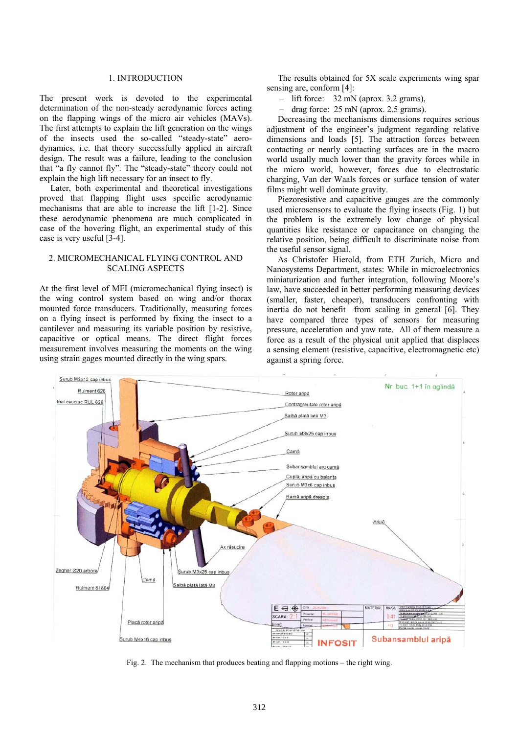#### 1. INTRODUCTION

The present work is devoted to the experimental determination of the non-steady aerodynamic forces acting on the flapping wings of the micro air vehicles (MAVs). The first attempts to explain the lift generation on the wings of the insects used the so-called "steady-state" aerodynamics, i.e. that theory successfully applied in aircraft design. The result was a failure, leading to the conclusion that "a fly cannot fly". The "steady-state" theory could not explain the high lift necessary for an insect to fly.

 Later, both experimental and theoretical investigations proved that flapping flight uses specific aerodynamic mechanisms that are able to increase the lift [1-2]. Since these aerodynamic phenomena are much complicated in case of the hovering flight, an experimental study of this case is very useful [3-4].

# 2. MICROMECHANICAL FLYING CONTROL AND SCALING ASPECTS

At the first level of MFI (micromechanical flying insect) is the wing control system based on wing and/or thorax mounted force transducers. Traditionally, measuring forces on a flying insect is performed by fixing the insect to a cantilever and measuring its variable position by resistive, capacitive or optical means. The direct flight forces measurement involves measuring the moments on the wing using strain gages mounted directly in the wing spars.

 The results obtained for 5X scale experiments wing spar sensing are, conform [4]:

− lift force: 32 mN (aprox. 3.2 grams),

− drag force: 25 mN (aprox. 2.5 grams).

 Decreasing the mechanisms dimensions requires serious adjustment of the engineer's judgment regarding relative dimensions and loads [5]. The attraction forces between contacting or nearly contacting surfaces are in the macro world usually much lower than the gravity forces while in the micro world, however, forces due to electrostatic charging, Van der Waals forces or surface tension of water films might well dominate gravity.

 Piezoresistive and capacitive gauges are the commonly used microsensors to evaluate the flying insects (Fig. 1) but the problem is the extremely low change of physical quantities like resistance or capacitance on changing the relative position, being difficult to discriminate noise from the useful sensor signal.

 As Christofer Hierold, from ETH Zurich, Micro and Nanosystems Department, states: While in microelectronics miniaturization and further integration, following Moore's law, have succeeded in better performing measuring devices (smaller, faster, cheaper), transducers confronting with inertia do not benefit from scaling in general [6]. They have compared three types of sensors for measuring pressure, acceleration and yaw rate. All of them measure a force as a result of the physical unit applied that displaces a sensing element (resistive, capacitive, electromagnetic etc) against a spring force.



Fig. 2. The mechanism that produces beating and flapping motions – the right wing.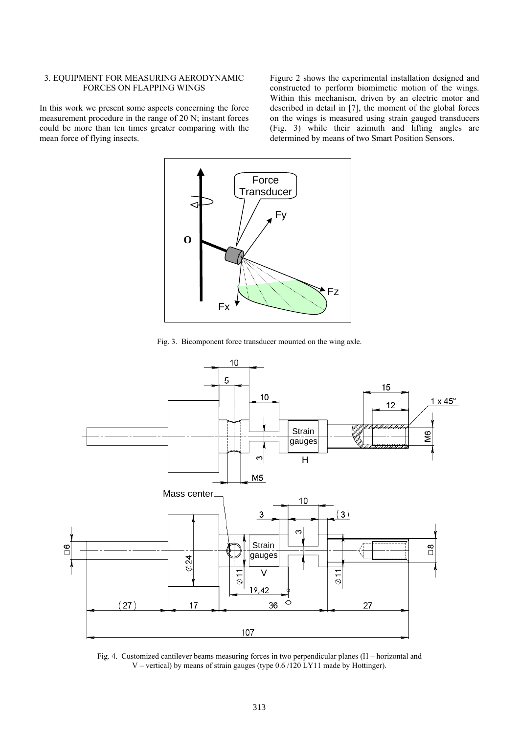## 3. EQUIPMENT FOR MEASURING AERODYNAMIC FORCES ON FLAPPING WINGS

In this work we present some aspects concerning the force measurement procedure in the range of 20 N; instant forces could be more than ten times greater comparing with the mean force of flying insects.

Figure 2 shows the experimental installation designed and constructed to perform biomimetic motion of the wings. Within this mechanism, driven by an electric motor and described in detail in [7], the moment of the global forces on the wings is measured using strain gauged transducers (Fig. 3) while their azimuth and lifting angles are determined by means of two Smart Position Sensors.



Fig. 3. Bicomponent force transducer mounted on the wing axle.



Fig. 4. Customized cantilever beams measuring forces in two perpendicular planes (H – horizontal and V – vertical) by means of strain gauges (type 0.6 /120 LY11 made by Hottinger).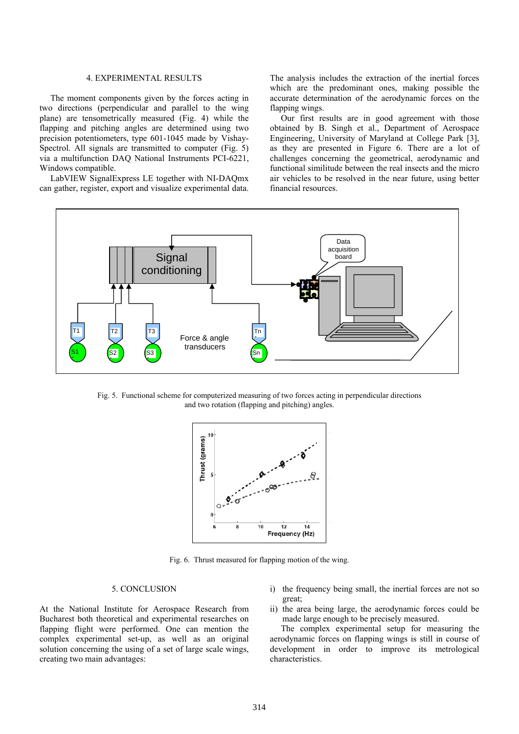## 4. EXPERIMENTAL RESULTS

 The moment components given by the forces acting in two directions (perpendicular and parallel to the wing plane) are tensometrically measured (Fig. 4) while the flapping and pitching angles are determined using two precision potentiometers, type 601-1045 made by Vishay-Spectrol. All signals are transmitted to computer (Fig. 5) via a multifunction DAQ National Instruments PCI-6221, Windows compatible.

 LabVIEW SignalExpress LE together with NI-DAQmx can gather, register, export and visualize experimental data.

The analysis includes the extraction of the inertial forces which are the predominant ones, making possible the accurate determination of the aerodynamic forces on the flapping wings.

 Our first results are in good agreement with those obtained by B. Singh et al., Department of Aerospace Engineering, University of Maryland at College Park [3], as they are presented in Figure 6. There are a lot of challenges concerning the geometrical, aerodynamic and functional similitude between the real insects and the micro air vehicles to be resolved in the near future, using better financial resources.



Fig. 5. Functional scheme for computerized measuring of two forces acting in perpendicular directions and two rotation (flapping and pitching) angles.



Fig. 6. Thrust measured for flapping motion of the wing.

## 5. CONCLUSION

At the National Institute for Aerospace Research from Bucharest both theoretical and experimental researches on flapping flight were performed. One can mention the complex experimental set-up, as well as an original solution concerning the using of a set of large scale wings, creating two main advantages:

- i) the frequency being small, the inertial forces are not so great;
- ii) the area being large, the aerodynamic forces could be made large enough to be precisely measured.

 The complex experimental setup for measuring the aerodynamic forces on flapping wings is still in course of development in order to improve its metrological characteristics.